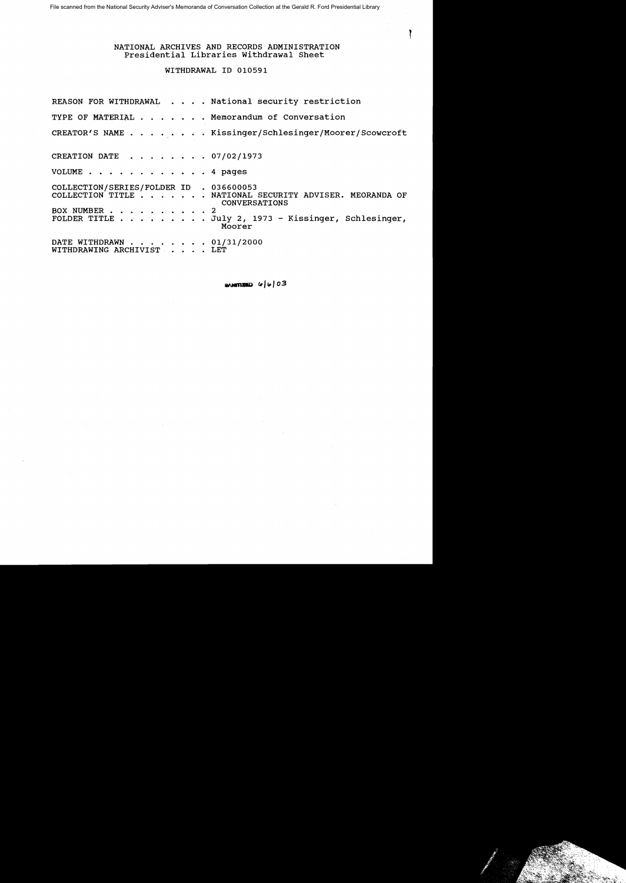# NATIONAL ARCHIVES AND RECORDS ADMINISTRATION Presidential Libraries withdrawal Sheet

ì

# WITHDRAWAL ID 010591

|                                                         | REASON FOR WITHDRAWAL National security restriction                                                                                              |
|---------------------------------------------------------|--------------------------------------------------------------------------------------------------------------------------------------------------|
|                                                         | TYPE OF MATERIAL Memorandum of Conversation                                                                                                      |
|                                                         | CREATOR'S NAME Kissinger/Schlesinger/Moorer/Scowcroft                                                                                            |
| CREATION DATE 07/02/1973                                |                                                                                                                                                  |
| VOLUME 4 pages                                          |                                                                                                                                                  |
| COLLECTION/SERIES/FOLDER ID . 036600053<br>BOX NUMBER 2 | COLLECTION TITLE NATIONAL SECURITY ADVISER. MEORANDA OF<br><b>CONVERSATIONS</b><br>FOLDER TITLE July 2, 1973 - Kissinger, Schlesinger,<br>Moorer |
| DATE WITHDRAWN 01/31/2000<br>WITHDRAWING ARCHIVIST LET  |                                                                                                                                                  |

**SAMITINED**  $\omega |\omega|$  03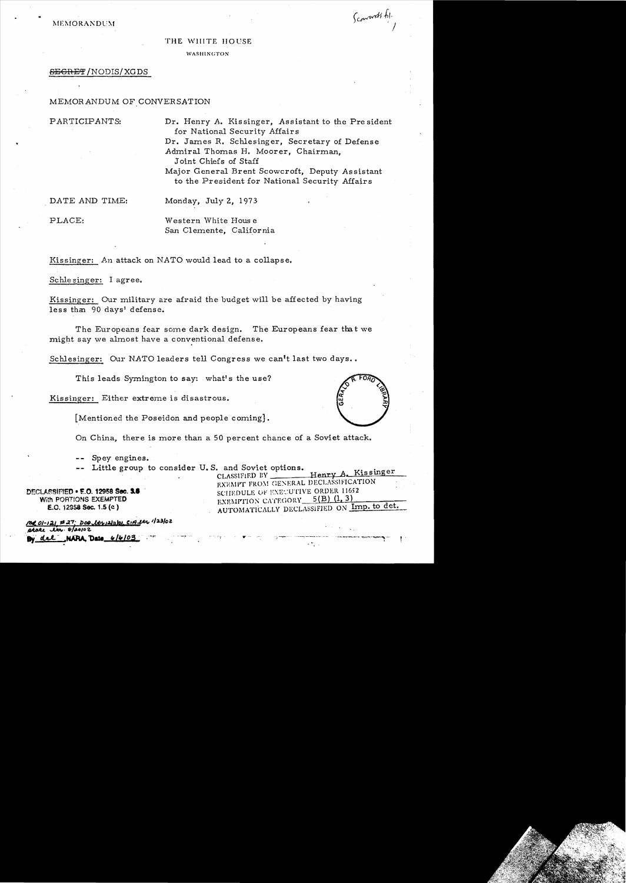MEMORANDUM

# Scountt fil.

#### THE WIIITE HOUSE

#### WASHINGTON

#### **SEGRET/NODIS/XGDS**

## MEMORANDUM OF CONVERSATION

PARTICIPANTS:

Dr. Henry A. Kissinger, Assistant to the President for National Security Affairs Dr. James R. Schlesinger. Secretary of Defense Admiral Thomas H. Moorer, Chairman, Joint Chiefs of Staff Major General Brent Scowcroft, Deputy Assistant

to the President for National Security Affairs

DATE AND TIME:

Monday, July 2, 1973

PLACE:

Western White House San Clemente. California

Kissinger: An attack on NATO would lead to a collapse.

Schlesinger: I agree.

Kissinger: Our military are afraid the budget will be affected by having less than 90 days' defense.

The Europeans fear some dark design. The Europeans fear that we might say we almost have a conventional defense.

Schlesinger: Our NATO leaders tell Congress we can't last two days..

This leads Symington to say: what's the use?

Kissinger: Either extreme is disastrous.

[Mentioned the Poseidon and people coming].

On China, there is more than a 50 percent chance of a Soviet attack.

-- Spey engines.

-- Little group to consider U.S. and Soviet options.

DECLASSIFIED . E.O. 12958 Sec. 3.6 With PORTIONS EXEMPTED E.O. 12958 Sec. 1.5 (c)

Me 01-121 #27: DOO ltr1211101 CIA ltr 123/02 state in. 8/20102 NARA Date 6/6/03 del.



Henry A. Kissinger CLASSIFIED BY EXEMPT FROM GENERAL DECLASSIFICATION SCHEDULE OF EXECUTIVE ORDER 11652 EXEMPTION CATEGORY 5(B) (1, 3) AUTOMATICALLY DECLASSIFIED ON Imp. to det.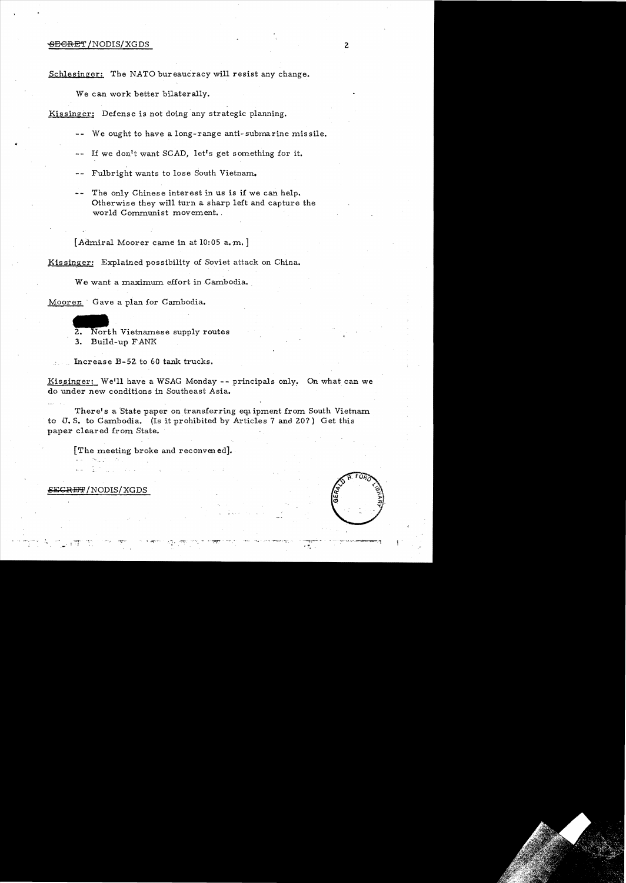#### <del>SEGRET</del> /NODIS/XGDS 2

..

Schlesinger: The NATO bureaucracy will resist any change.

We can work better bilaterally.

Kissinger: Defense is not doing any strategic planning.

- -- We ought to have a long-range anti-submarine missile.
- -- If we don't want SCAD, let's get something for it.

-- Fulbright wants to lose South Vietnam.

-- The only Chinese interest in us is if we can help. Otherwise they will turn a sharp left and capture the world Communist movement.

 $[\,$  Admiral Moorer came in at 10:05 a.m.  $]$ 

Kis singer: Explained possibility of Soviet attack on China.

We want a maximum effort in Cambodia.

Moorer: Gave a plan for Cambodia.

rer Gave a plan for Cambodia.<br>
2. North Vietnamese supply routes 3. Build-up FANK

Increase B-52 to 60 tank trucks.

Kissinger: We'll have a WSAG Monday -- principals only. On what can we do under new conditions in Southeast Asia.

There's a State paper on transferring equipment from South Vietnam to U. S. to Cambodia. (Is it prohibited by Articles 7 and 20?) Get this paper cleared from State.

[The meeting broke and reconven ed]•.

SEGRET/NODIS/XGDS

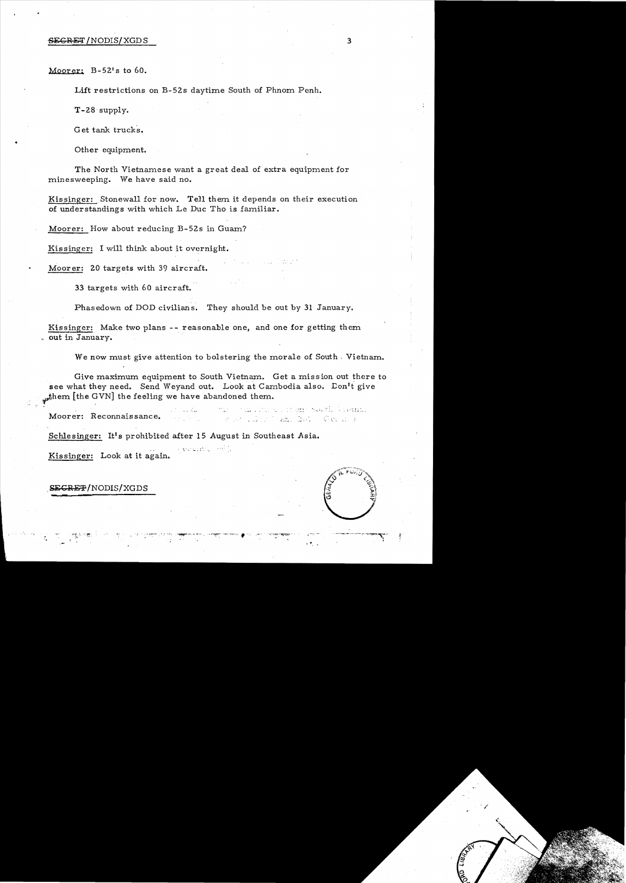#### §~GRET /NODIS/XGDS 3

Moorer:  $B-52' s$  to 60.

Lift restrictions on B-52s daytime South of Phnom Penh.

T-28 supply.

Get tank trucks.

Other equipment.

The North Vietnamese want a great deal of extra equipment for minesweeping. We have said no.

Kissinger: Stonewall for now. Tell them it depends on their execution of understandings with which Le Duc Tho is familiar.

Moorer: How about reducing B-52s in Guam?

Kissinger: I will think about it overnight.

Moorer: 20 targets with 39 aircraft.

33 targets with 60 aircraft.

Phasedown of DOD civilians. They should be out by 31 January.

Kissinger: Make two plans -- reasonable one, and one for getting them . out in January.

We now must give attention to bolstering the morale of South. Vietnam.

Give maximum equipment to South Vietnam. Get a mission out there to see what they need. Send Weyand out. Look at Cambodia also. Don't give  $f_{\text{v}}$ them [the GVN] the feeling we have abandoned them.

this computer on the section common Moorer: Reconnaissance. Arthur and the German

Schlesinger: It's prohibited after 15 August in Southeast Asia.

k estezzionen. Kissinger: Look at it again.



\_SEGRE'P/NODIS/XGDS **... -**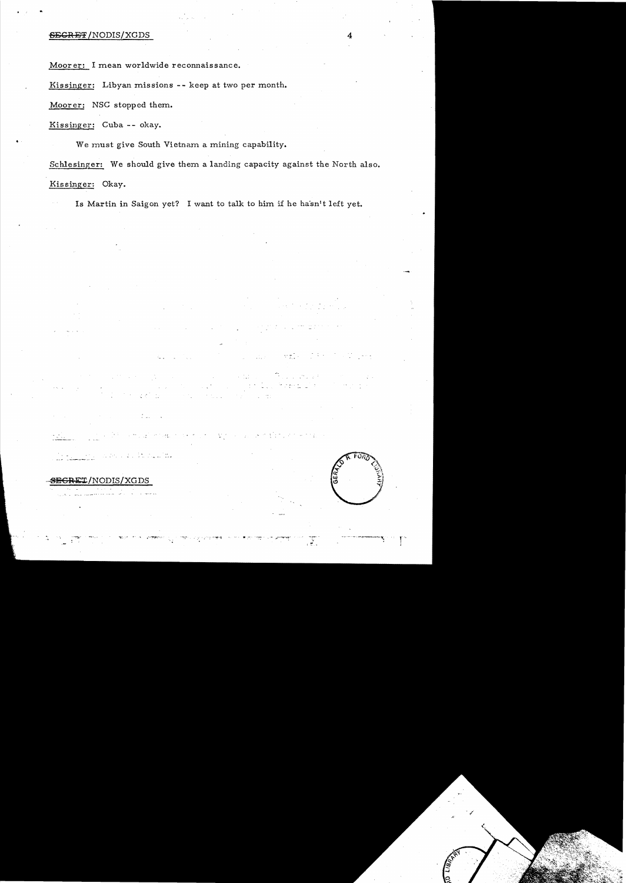## SEGRET/NODIS/XGDS

Moorer: I mean worldwide reconnaissance.

Kissinger: Libyan missions -- keep at two per month.

Moorer: NSC stopped them.

Kissinger: Cuba -- okay.

We must give South Vietnam a mining capability.

Schlesinger: We should give them a landing capacity against the North also. Kissinger: Okay.

Is Martin in Saigon yet? I want to talk to him if he ha'sn't left yet.

الانتقال المرات.<br>المملكة المرات

# $\overline{\text{SEGRET}}$ /NODIS/XGDS